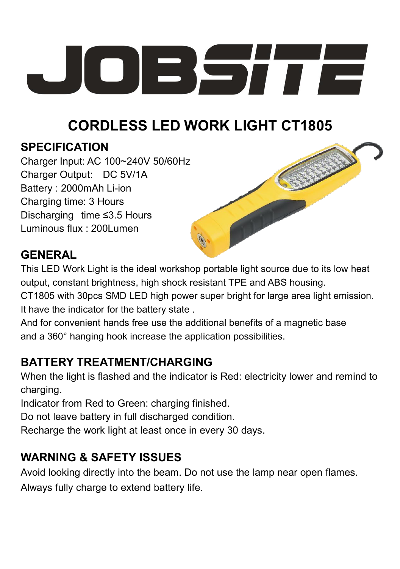

# **CORDLESS LED WORK LIGHT CT1805**

### **SPECIFICATION**

Charger Input: AC 100~240V 50/60Hz Charger Output: DC 5V/1A Battery : 2000mAh Li-ion Charging time: 3 Hours Discharging time ≤3.5 Hours Luminous flux : 200Lumen



### **GENERAL**

This LED Work Light is the ideal workshop portable light source due to its low heat output, constant brightness, high shock resistant TPE and ABS housing. CT1805 with 30pcs SMD LED high power super bright for large area light emission. It have the indicator for the battery state .

And for convenient hands free use the additional benefits of a magnetic base and a 360° hanging hook increase the application possibilities.

# **BATTERY TREATMENT/CHARGING**

When the light is flashed and the indicator is Red: electricity lower and remind to charging.

Indicator from Red to Green: charging finished.

Do not leave battery in full discharged condition.

Recharge the work light at least once in every 30 days.

# **WARNING & SAFETY ISSUES**

Avoid looking directly into the beam. Do not use the lamp near open flames. Always fully charge to extend battery life.